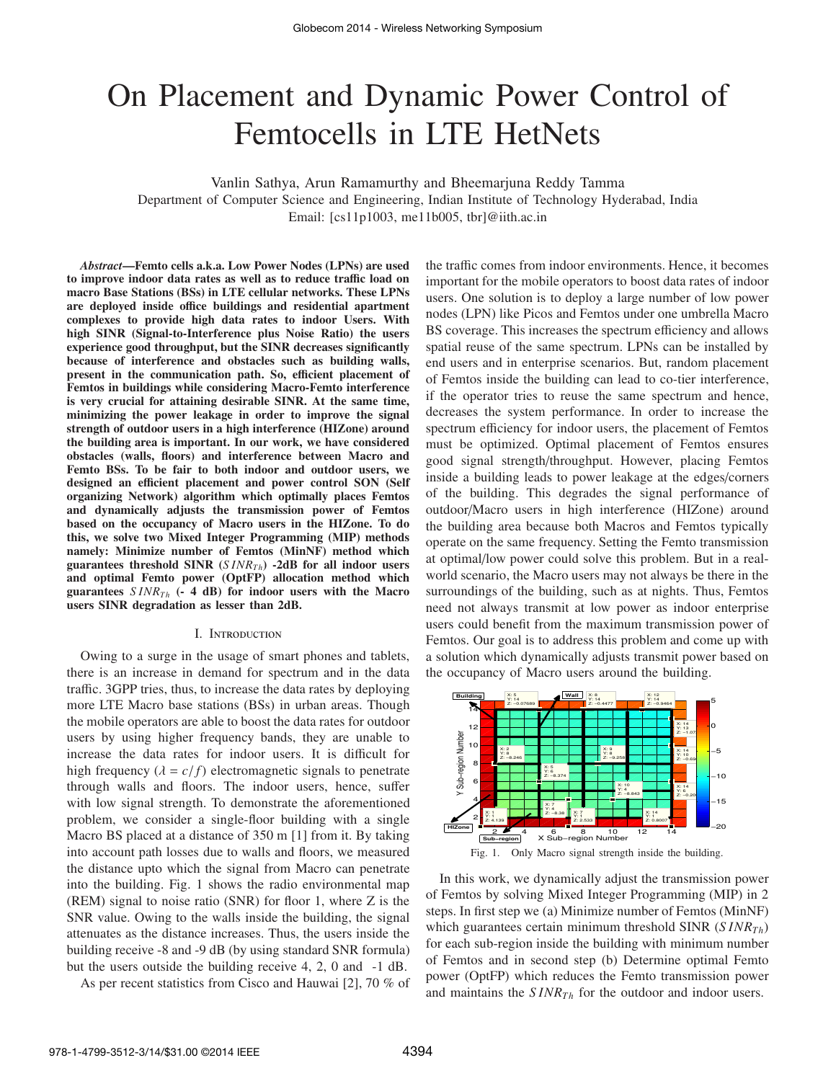# On Placement and Dynamic Power Control of Femtocells in LTE HetNets

Vanlin Sathya, Arun Ramamurthy and Bheemarjuna Reddy Tamma

Department of Computer Science and Engineering, Indian Institute of Technology Hyderabad, India Email: [cs11p1003, me11b005, tbr]@iith.ac.in

*Abstract***—Femto cells a.k.a. Low Power Nodes (LPNs) are used to improve indoor data rates as well as to reduce tra**ffi**c load on macro Base Stations (BSs) in LTE cellular networks. These LPNs are deployed inside o**ffi**ce buildings and residential apartment complexes to provide high data rates to indoor Users. With high SINR (Signal-to-Interference plus Noise Ratio) the users experience good throughput, but the SINR decreases significantly because of interference and obstacles such as building walls,** present in the communication path. So, efficient placement of **Femtos in buildings while considering Macro-Femto interference is very crucial for attaining desirable SINR. At the same time, minimizing the power leakage in order to improve the signal strength of outdoor users in a high interference (HIZone) around the building area is important. In our work, we have considered obstacles (walls, floors) and interference between Macro and Femto BSs. To be fair to both indoor and outdoor users, we designed an e**ffi**cient placement and power control SON (Self organizing Network) algorithm which optimally places Femtos and dynamically adjusts the transmission power of Femtos based on the occupancy of Macro users in the HIZone. To do this, we solve two Mixed Integer Programming (MIP) methods namely: Minimize number of Femtos (MinNF) method which** guarantees threshold SINR  $(SINR<sub>Th</sub>)$  -2dB for all indoor users **and optimal Femto power (OptFP) allocation method which** guarantees  $SINR<sub>Th</sub>$  (- 4 dB) for indoor users with the Macro **users SINR degradation as lesser than 2dB.**

### I. Introduction

Owing to a surge in the usage of smart phones and tablets, there is an increase in demand for spectrum and in the data traffic. 3GPP tries, thus, to increase the data rates by deploying more LTE Macro base stations (BSs) in urban areas. Though the mobile operators are able to boost the data rates for outdoor users by using higher frequency bands, they are unable to increase the data rates for indoor users. It is difficult for high frequency  $(\lambda = c/f)$  electromagnetic signals to penetrate through walls and floors. The indoor users, hence, suffer with low signal strength. To demonstrate the aforementioned problem, we consider a single-floor building with a single Macro BS placed at a distance of 350 m [1] from it. By taking into account path losses due to walls and floors, we measured the distance upto which the signal from Macro can penetrate into the building. Fig. 1 shows the radio environmental map (REM) signal to noise ratio (SNR) for floor 1, where Z is the SNR value. Owing to the walls inside the building, the signal attenuates as the distance increases. Thus, the users inside the building receive -8 and -9 dB (by using standard SNR formula) but the users outside the building receive 4, 2, 0 and -1 dB.

As per recent statistics from Cisco and Hauwai [2], 70 % of

the traffic comes from indoor environments. Hence, it becomes important for the mobile operators to boost data rates of indoor users. One solution is to deploy a large number of low power nodes (LPN) like Picos and Femtos under one umbrella Macro BS coverage. This increases the spectrum efficiency and allows spatial reuse of the same spectrum. LPNs can be installed by end users and in enterprise scenarios. But, random placement of Femtos inside the building can lead to co-tier interference, if the operator tries to reuse the same spectrum and hence, decreases the system performance. In order to increase the spectrum efficiency for indoor users, the placement of Femtos must be optimized. Optimal placement of Femtos ensures good signal strength/throughput. However, placing Femtos inside a building leads to power leakage at the edges/corners of the building. This degrades the signal performance of outdoor/Macro users in high interference (HIZone) around the building area because both Macros and Femtos typically operate on the same frequency. Setting the Femto transmission at optimal/low power could solve this problem. But in a realworld scenario, the Macro users may not always be there in the surroundings of the building, such as at nights. Thus, Femtos need not always transmit at low power as indoor enterprise users could benefit from the maximum transmission power of Femtos. Our goal is to address this problem and come up with a solution which dynamically adjusts transmit power based on the occupancy of Macro users around the building.



In this work, we dynamically adjust the transmission power of Femtos by solving Mixed Integer Programming (MIP) in 2 steps. In first step we (a) Minimize number of Femtos (MinNF) which guarantees certain minimum threshold SINR (*SINR<sub>Th</sub>*) for each sub-region inside the building with minimum number of Femtos and in second step (b) Determine optimal Femto power (OptFP) which reduces the Femto transmission power and maintains the  $SINR<sub>Th</sub>$  for the outdoor and indoor users.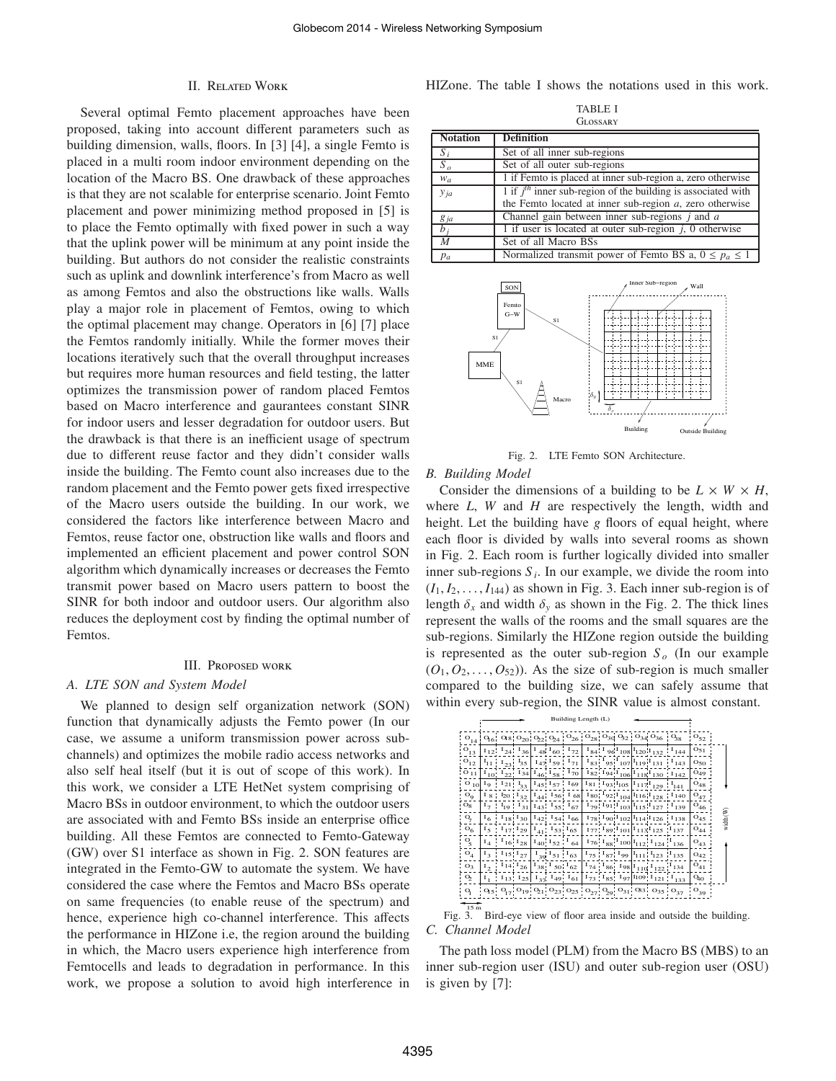### II. Related Work

Several optimal Femto placement approaches have been proposed, taking into account different parameters such as building dimension, walls, floors. In [3] [4], a single Femto is placed in a multi room indoor environment depending on the location of the Macro BS. One drawback of these approaches is that they are not scalable for enterprise scenario. Joint Femto placement and power minimizing method proposed in [5] is to place the Femto optimally with fixed power in such a way that the uplink power will be minimum at any point inside the building. But authors do not consider the realistic constraints such as uplink and downlink interference's from Macro as well as among Femtos and also the obstructions like walls. Walls play a major role in placement of Femtos, owing to which the optimal placement may change. Operators in [6] [7] place the Femtos randomly initially. While the former moves their locations iteratively such that the overall throughput increases but requires more human resources and field testing, the latter optimizes the transmission power of random placed Femtos based on Macro interference and gaurantees constant SINR for indoor users and lesser degradation for outdoor users. But the drawback is that there is an inefficient usage of spectrum due to different reuse factor and they didn't consider walls inside the building. The Femto count also increases due to the random placement and the Femto power gets fixed irrespective of the Macro users outside the building. In our work, we considered the factors like interference between Macro and Femtos, reuse factor one, obstruction like walls and floors and implemented an efficient placement and power control SON algorithm which dynamically increases or decreases the Femto transmit power based on Macro users pattern to boost the SINR for both indoor and outdoor users. Our algorithm also reduces the deployment cost by finding the optimal number of Femtos.

# III. Proposed work

## *A. LTE SON and System Model*

We planned to design self organization network (SON) function that dynamically adjusts the Femto power (In our case, we assume a uniform transmission power across subchannels) and optimizes the mobile radio access networks and also self heal itself (but it is out of scope of this work). In this work, we consider a LTE HetNet system comprising of Macro BSs in outdoor environment, to which the outdoor users are associated with and Femto BSs inside an enterprise office building. All these Femtos are connected to Femto-Gateway (GW) over S1 interface as shown in Fig. 2. SON features are integrated in the Femto-GW to automate the system. We have considered the case where the Femtos and Macro BSs operate on same frequencies (to enable reuse of the spectrum) and hence, experience high co-channel interference. This affects the performance in HIZone i.e, the region around the building in which, the Macro users experience high interference from Femtocells and leads to degradation in performance. In this work, we propose a solution to avoid high interference in

HIZone. The table I shows the notations used in this work.

TABLE I GLOSSARY

| <b>Notation</b> | <b>Definition</b>                                                 |  |  |  |  |
|-----------------|-------------------------------------------------------------------|--|--|--|--|
| $S_i$           | Set of all inner sub-regions                                      |  |  |  |  |
| $S_o$           | Set of all outer sub-regions                                      |  |  |  |  |
| $W_a$           | 1 if Femto is placed at inner sub-region a, zero otherwise        |  |  |  |  |
| $y_{ja}$        | 1 if $i^{th}$ inner sub-region of the building is associated with |  |  |  |  |
|                 | the Femto located at inner sub-region $a$ , zero otherwise        |  |  |  |  |
| g ja            | Channel gain between inner sub-regions $i$ and $a$                |  |  |  |  |
| $b_i$           | 1 if user is located at outer sub-region $i$ , 0 otherwise        |  |  |  |  |
| M               | Set of all Macro BSs                                              |  |  |  |  |
| $p_a$           | Normalized transmit power of Femto BS a, $0 \le p_a \le 1$        |  |  |  |  |



Fig. 2. LTE Femto SON Architecture.

## *B. Building Model*

Consider the dimensions of a building to be  $L \times W \times H$ , where *L*, *W* and *H* are respectively the length, width and height. Let the building have *g* floors of equal height, where each floor is divided by walls into several rooms as shown in Fig. 2. Each room is further logically divided into smaller inner sub-regions  $S_i$ . In our example, we divide the room into  $(I_1, I_2, \ldots, I_{144})$  as shown in Fig. 3. Each inner sub-region is of length  $\delta_x$  and width  $\delta_y$  as shown in the Fig. 2. The thick lines represent the walls of the rooms and the small squares are the sub-regions. Similarly the HIZone region outside the building is represented as the outer sub-region  $S<sub>o</sub>$  (In our example  $(O_1, O_2, \ldots, O_{52})$ ). As the size of sub-region is much smaller compared to the building size, we can safely assume that within every sub-region, the SINR value is almost constant.



*C. Channel Model*

The path loss model (PLM) from the Macro BS (MBS) to an inner sub-region user (ISU) and outer sub-region user (OSU) is given by [7]: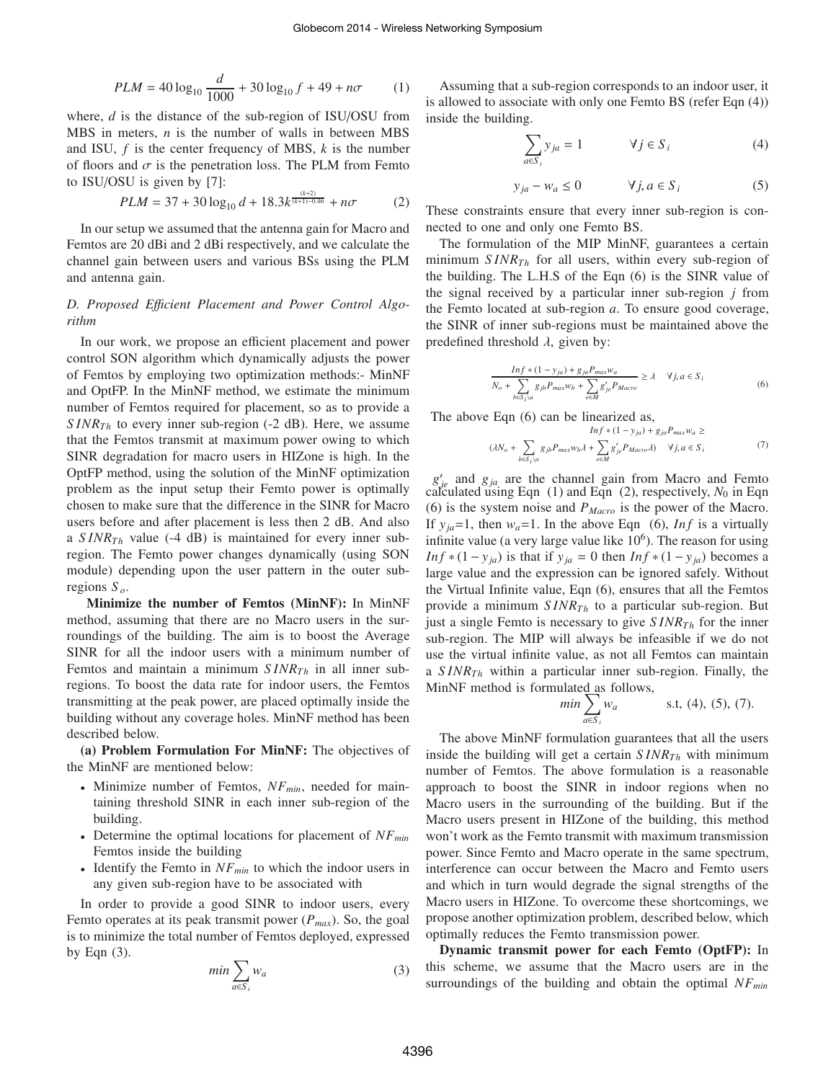$$
PLM = 40 \log_{10} \frac{d}{1000} + 30 \log_{10} f + 49 + n\sigma \tag{1}
$$

where, *d* is the distance of the sub-region of ISU/OSU from MBS in meters, *n* is the number of walls in between MBS and ISU, *f* is the center frequency of MBS, *k* is the number of floors and  $\sigma$  is the penetration loss. The PLM from Femto to ISU/OSU is given by [7]:

$$
PLM = 37 + 30 \log_{10} d + 18.3k^{\frac{(k+2)}{(k+1)-0.46}} + n\sigma \tag{2}
$$

In our setup we assumed that the antenna gain for Macro and Femtos are 20 dBi and 2 dBi respectively, and we calculate the channel gain between users and various BSs using the PLM and antenna gain.

# *D. Proposed E*ffi*cient Placement and Power Control Algorithm*

In our work, we propose an efficient placement and power control SON algorithm which dynamically adjusts the power of Femtos by employing two optimization methods:- MinNF and OptFP. In the MinNF method, we estimate the minimum number of Femtos required for placement, so as to provide a  $SINR<sub>Th</sub>$  to every inner sub-region (-2 dB). Here, we assume that the Femtos transmit at maximum power owing to which SINR degradation for macro users in HIZone is high. In the OptFP method, using the solution of the MinNF optimization problem as the input setup their Femto power is optimally chosen to make sure that the difference in the SINR for Macro users before and after placement is less then 2 dB. And also a  $SINR<sub>Th</sub>$  value (-4 dB) is maintained for every inner subregion. The Femto power changes dynamically (using SON module) depending upon the user pattern in the outer subregions *S <sup>o</sup>*.

**Minimize the number of Femtos (MinNF):** In MinNF method, assuming that there are no Macro users in the surroundings of the building. The aim is to boost the Average SINR for all the indoor users with a minimum number of Femtos and maintain a minimum  $SINR<sub>Th</sub>$  in all inner subregions. To boost the data rate for indoor users, the Femtos transmitting at the peak power, are placed optimally inside the building without any coverage holes. MinNF method has been described below.

**(a) Problem Formulation For MinNF:** The objectives of the MinNF are mentioned below:

- Minimize number of Femtos, *NFmin*, needed for maintaining threshold SINR in each inner sub-region of the building.
- Determine the optimal locations for placement of *NFmin* Femtos inside the building
- Identify the Femto in *NFmin* to which the indoor users in any given sub-region have to be associated with

In order to provide a good SINR to indoor users, every Femto operates at its peak transmit power (*Pmax*). So, the goal is to minimize the total number of Femtos deployed, expressed by Eqn  $(3)$ .

$$
\min \sum_{a \in S_i} w_a \tag{3}
$$

Assuming that a sub-region corresponds to an indoor user, it is allowed to associate with only one Femto BS (refer Eqn (4)) inside the building.

$$
\sum_{a \in S_i} y_{ja} = 1 \qquad \forall j \in S_i \tag{4}
$$

$$
y_{ja} - w_a \le 0 \qquad \forall j, a \in S_i \tag{5}
$$

These constraints ensure that every inner sub-region is connected to one and only one Femto BS.

The formulation of the MIP MinNF, guarantees a certain minimum  $SINR<sub>Th</sub>$  for all users, within every sub-region of the building. The L.H.S of the Eqn (6) is the SINR value of the signal received by a particular inner sub-region *j* from the Femto located at sub-region *a*. To ensure good coverage, the SINR of inner sub-regions must be maintained above the predefined threshold  $\lambda$ , given by:

$$
\frac{Inf * (1 - y_{ja}) + g_{ja}P_{max}w_a}{N_o + \sum_{b \in S_i \setminus a} g_{jb}P_{max}w_b + \sum_{e \in M} g'_{je}P_{Macco}} \ge \lambda \quad \forall j, a \in S_i
$$
\n
$$
(6)
$$

The above Eqn (6) can be linearized as,

$$
Inf * (1 - y_{ja}) + g_{ja}P_{max}w_a \ge
$$
  

$$
(\lambda N_o + \sum_{b \in S_i \setminus a} g_{jb}P_{max}w_b \lambda + \sum_{e \in M} g'_{je}P_{Macro} \lambda) \quad \forall j, a \in S_i
$$
 (7)

 $g'_{j_e}$  and  $g_{ja}$  are the channel gain from Macro and Femto calculated using Eqn (1) and Eqn (2), respectively,  $N_0$  in Eqn (6) is the system noise and *PMacro* is the power of the Macro. If  $y_{ja}=1$ , then  $w_a=1$ . In the above Eqn (6), *Inf* is a virtually infinite value (a very large value like  $10<sup>6</sup>$ ). The reason for using *In f*  $*(1 - y_{ia})$  is that if  $y_{ia} = 0$  then *In f*  $*(1 - y_{ia})$  becomes a large value and the expression can be ignored safely. Without the Virtual Infinite value, Eqn (6), ensures that all the Femtos provide a minimum *SINR<sub>Th</sub>* to a particular sub-region. But just a single Femto is necessary to give  $SINR<sub>Th</sub>$  for the inner sub-region. The MIP will always be infeasible if we do not use the virtual infinite value, as not all Femtos can maintain a *SINR<sub>Th</sub>* within a particular inner sub-region. Finally, the MinNF method is formulated as follows,

$$
min \sum_{a \in S_i} w_a \qquad \text{s.t. (4), (5), (7).}
$$

The above MinNF formulation guarantees that all the users inside the building will get a certain  $SINR<sub>Th</sub>$  with minimum number of Femtos. The above formulation is a reasonable approach to boost the SINR in indoor regions when no Macro users in the surrounding of the building. But if the Macro users present in HIZone of the building, this method won't work as the Femto transmit with maximum transmission power. Since Femto and Macro operate in the same spectrum, interference can occur between the Macro and Femto users and which in turn would degrade the signal strengths of the Macro users in HIZone. To overcome these shortcomings, we propose another optimization problem, described below, which optimally reduces the Femto transmission power.

**Dynamic transmit power for each Femto (OptFP):** In this scheme, we assume that the Macro users are in the surroundings of the building and obtain the optimal *NFmin*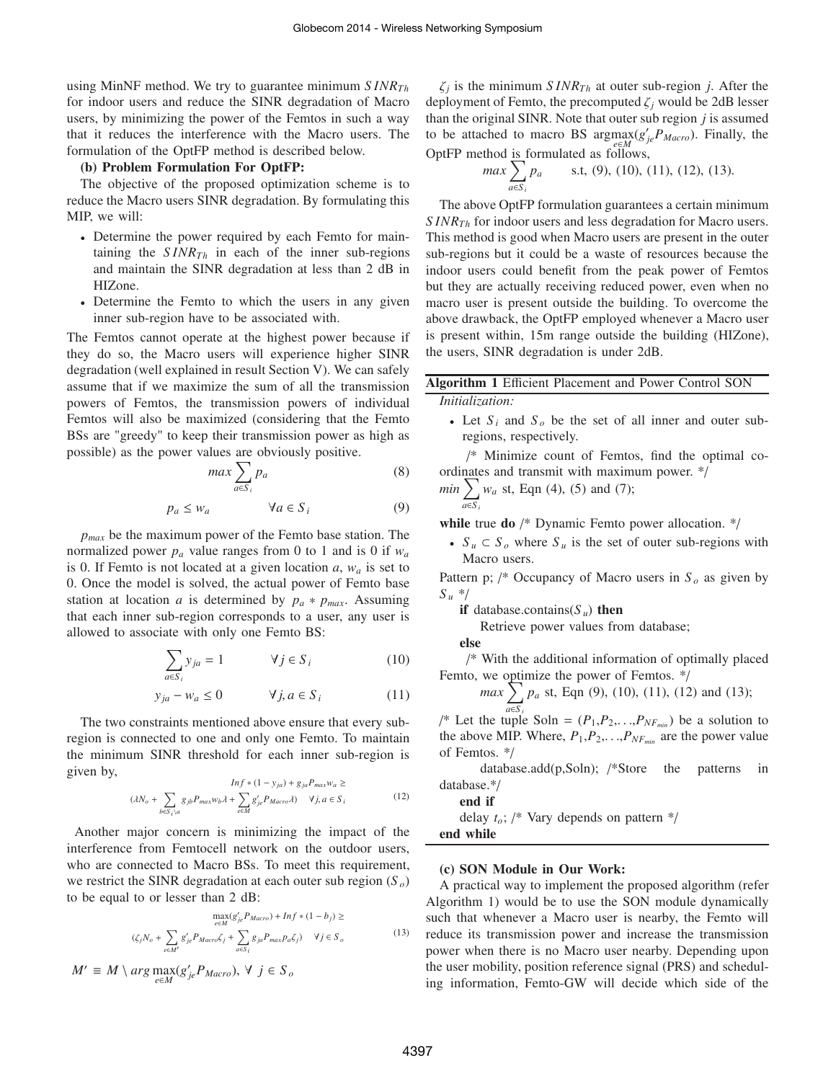using MinNF method. We try to guarantee minimum *SINR*<sub>*Th*</sub> for indoor users and reduce the SINR degradation of Macro users, by minimizing the power of the Femtos in such a way that it reduces the interference with the Macro users. The formulation of the OptFP method is described below.

## **(b) Problem Formulation For OptFP:**

The objective of the proposed optimization scheme is to reduce the Macro users SINR degradation. By formulating this MIP, we will:

- Determine the power required by each Femto for maintaining the  $SINR<sub>Th</sub>$  in each of the inner sub-regions and maintain the SINR degradation at less than 2 dB in HIZone.
- Determine the Femto to which the users in any given inner sub-region have to be associated with.

The Femtos cannot operate at the highest power because if they do so, the Macro users will experience higher SINR degradation (well explained in result Section V). We can safely assume that if we maximize the sum of all the transmission powers of Femtos, the transmission powers of individual Femtos will also be maximized (considering that the Femto BSs are "greedy" to keep their transmission power as high as possible) as the power values are obviously positive.

$$
max \sum_{a \in S_i} p_a \tag{8}
$$

$$
p_a \le w_a \qquad \qquad \forall a \in S_i \tag{9}
$$

*pmax* be the maximum power of the Femto base station. The normalized power *p<sup>a</sup>* value ranges from 0 to 1 and is 0 if *w<sup>a</sup>* is 0. If Femto is not located at a given location *a*, *w<sup>a</sup>* is set to 0. Once the model is solved, the actual power of Femto base station at location *a* is determined by  $p_a * p_{max}$ . Assuming that each inner sub-region corresponds to a user, any user is allowed to associate with only one Femto BS:

$$
\sum_{a \in S_i} y_{ja} = 1 \qquad \forall j \in S_i \tag{10}
$$

$$
y_{ja} - w_a \le 0 \qquad \forall j, a \in S_i \tag{11}
$$

The two constraints mentioned above ensure that every subregion is connected to one and only one Femto. To maintain the minimum SINR threshold for each inner sub-region is given by,

$$
Inf * (1 - y_{ja}) + g_{ja}P_{max}w_a \ge
$$
  

$$
(\lambda N_o + \sum_{b \in S_i \setminus a} g_{jb}P_{max}w_b \lambda + \sum_{e \in M} g'_{je}P_{Macro} \lambda) \quad \forall j, a \in S_i
$$
 (12)

Another major concern is minimizing the impact of the interference from Femtocell network on the outdoor users, who are connected to Macro BSs. To meet this requirement, we restrict the SINR degradation at each outer sub region (*S <sup>o</sup>*) to be equal to or lesser than 2 dB:

$$
\max_{e \in M} (g'_{je}P_{Macco}) + Inf * (1 - b_j) \ge
$$
  

$$
(\zeta_j N_o + \sum_{e \in M'} g'_{je}P_{Macco} \zeta_j + \sum_{a \in S_j} g_{ja}P_{max}p_a \zeta_j) \quad \forall j \in S_o
$$
 (13)

$$
M' \equiv M \setminus arg \max_{e \in M} (g'_{je} P_{Macro}), \forall j \in S_o
$$

 $\zeta_j$  is the minimum *SINR<sub>Th</sub>* at outer sub-region *j*. After the deployment of Femto, the precomputed  $\zeta_j$  would be 2dB lesser than the original SINR. Note that outer sub region *j* is assumed to be attached to macro BS  $\arg \max_{a \in M} (g'_{j e} P_{Macro})$ . Finally, the  $\sum_{e \in M}$   $\sum_{v \in M}$   $\sum_{v \in M}$ 

$$
max \sum_{a \in S_i} p_a \qquad \text{s.t. (9), (10), (11), (12), (13).}
$$

The above OptFP formulation guarantees a certain minimum  $SINR<sub>Th</sub>$  for indoor users and less degradation for Macro users. This method is good when Macro users are present in the outer sub-regions but it could be a waste of resources because the indoor users could benefit from the peak power of Femtos but they are actually receiving reduced power, even when no macro user is present outside the building. To overcome the above drawback, the OptFP employed whenever a Macro user is present within, 15m range outside the building (HIZone), the users, SINR degradation is under 2dB.

# **Algorithm 1** Efficient Placement and Power Control SON *Initialization:*

• Let  $S_i$  and  $S_o$  be the set of all inner and outer subregions, respectively.

/\* Minimize count of Femtos, find the optimal coordinates and transmit with maximum power. \*/  $min\sum$ *w<sup>a</sup>* st, Eqn (4), (5) and (7);

$$
min \sum_{a \in S_i} w_a
$$
st, Eqn (4), (3) and (7)

**while** true **do** /\* Dynamic Femto power allocation. \*/

•  $S_u \subset S_o$  where  $S_u$  is the set of outer sub-regions with Macro users.

Pattern p; /\* Occupancy of Macro users in *S <sup>o</sup>* as given by *S <sup>u</sup>* \*/

**if** database.contains( $S_u$ ) **then** 

Retrieve power values from database;

**else**

/\* With the additional information of optimally placed Femto, we optimize the power of Femtos. \*/

*max*  $\sum_{i}$   $p_a$  st, Eqn (9), (10), (11), (12) and (13);

<sup>*a∈S<sub><i>i*</sub></sup></sup> Let the tuple Soln =  $(P_1, P_2, \ldots, P_{NF_{min}})$  be a solution to</sup> the above MIP. Where,  $P_1$ ,  $P_2$ , ...,  $P_{NF_{min}}$  are the power value of Femtos. \*/

database.add(p,Soln); /\*Store the patterns in database.\*/

**end if**

delay *to*; /\* Vary depends on pattern \*/

# **end while**

# **(c) SON Module in Our Work:**

A practical way to implement the proposed algorithm (refer Algorithm 1) would be to use the SON module dynamically such that whenever a Macro user is nearby, the Femto will reduce its transmission power and increase the transmission power when there is no Macro user nearby. Depending upon the user mobility, position reference signal (PRS) and scheduling information, Femto-GW will decide which side of the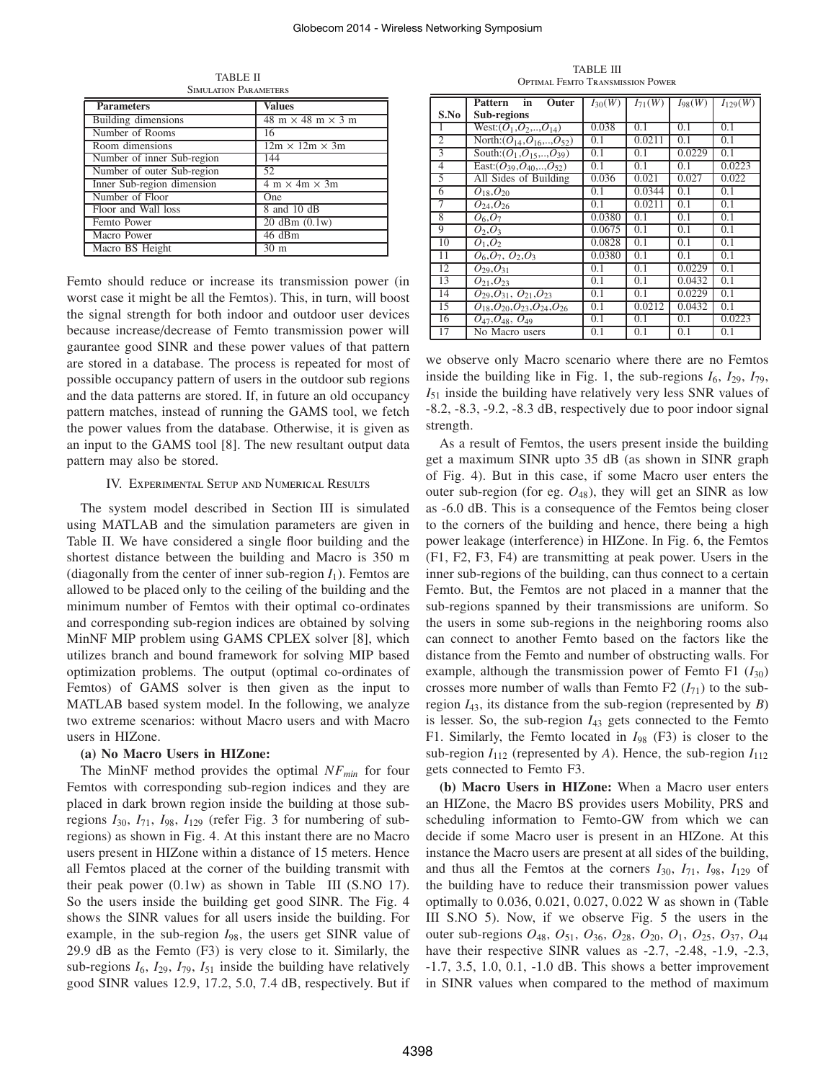TABLE II Simulation Parameters

| <b>Parameters</b>          | <b>Values</b>                                     |  |  |
|----------------------------|---------------------------------------------------|--|--|
| Building dimensions        | 48 m $\times$ 48 m $\times$ 3 m                   |  |  |
| Number of Rooms            | 16                                                |  |  |
| Room dimensions            | $12m \times 12m \times 3m$                        |  |  |
| Number of inner Sub-region | 144                                               |  |  |
| Number of outer Sub-region | 52                                                |  |  |
| Inner Sub-region dimension | $4 \text{ m} \times 4\text{ m} \times 3\text{ m}$ |  |  |
| Number of Floor            | One                                               |  |  |
| Floor and Wall loss        | 8 and 10 dB                                       |  |  |
| Femto Power                | $20$ dBm $(0.1w)$                                 |  |  |
| Macro Power                | 46 dBm                                            |  |  |
| Macro BS Height            | 30 <sub>m</sub>                                   |  |  |

Femto should reduce or increase its transmission power (in worst case it might be all the Femtos). This, in turn, will boost the signal strength for both indoor and outdoor user devices because increase/decrease of Femto transmission power will gaurantee good SINR and these power values of that pattern are stored in a database. The process is repeated for most of possible occupancy pattern of users in the outdoor sub regions and the data patterns are stored. If, in future an old occupancy pattern matches, instead of running the GAMS tool, we fetch the power values from the database. Otherwise, it is given as an input to the GAMS tool [8]. The new resultant output data pattern may also be stored.

## IV. Experimental Setup and Numerical Results

The system model described in Section III is simulated using MATLAB and the simulation parameters are given in Table II. We have considered a single floor building and the shortest distance between the building and Macro is 350 m (diagonally from the center of inner sub-region  $I_1$ ). Femtos are allowed to be placed only to the ceiling of the building and the minimum number of Femtos with their optimal co-ordinates and corresponding sub-region indices are obtained by solving MinNF MIP problem using GAMS CPLEX solver [8], which utilizes branch and bound framework for solving MIP based optimization problems. The output (optimal co-ordinates of Femtos) of GAMS solver is then given as the input to MATLAB based system model. In the following, we analyze two extreme scenarios: without Macro users and with Macro users in HIZone.

## **(a) No Macro Users in HIZone:**

The MinNF method provides the optimal *NFmin* for four Femtos with corresponding sub-region indices and they are placed in dark brown region inside the building at those subregions  $I_{30}$ ,  $I_{71}$ ,  $I_{98}$ ,  $I_{129}$  (refer Fig. 3 for numbering of subregions) as shown in Fig. 4. At this instant there are no Macro users present in HIZone within a distance of 15 meters. Hence all Femtos placed at the corner of the building transmit with their peak power (0.1w) as shown in Table III (S.NO 17). So the users inside the building get good SINR. The Fig. 4 shows the SINR values for all users inside the building. For example, in the sub-region *I*98, the users get SINR value of 29.9 dB as the Femto (F3) is very close to it. Similarly, the sub-regions  $I_6$ ,  $I_{29}$ ,  $I_{79}$ ,  $I_{51}$  inside the building have relatively good SINR values 12.9, 17.2, 5.0, 7.4 dB, respectively. But if

TABLE III Optimal Femto Transmission Power

|                | in<br>Pattern<br>Outer                    | $I_{30}(W)$ | $I_{71}(W)$ | $I_{98}(W)$ | $I_{129}(W)$     |
|----------------|-------------------------------------------|-------------|-------------|-------------|------------------|
| S.No           | Sub-regions                               |             |             |             |                  |
| 1              | $West:(O_1,O_2, , O_{14})$                | 0.038       | 0.1         | 0.1         | 0.1              |
| $\overline{2}$ | North: $(O_{14}, O_{16}, \ldots, O_{52})$ | 0.1         | 0.0211      | 0.1         | 0.1              |
| $\overline{3}$ | South: $(O_1, O_{15}, , O_{39})$          | 0.1         | 0.1         | 0.0229      | 0.1              |
| $\overline{4}$ | East: $(O_{39}, O_{40}, \ldots, O_{52})$  | 0.1         | 0.1         | 0.1         | 0.0223           |
| 5              | All Sides of Building                     | 0.036       | 0.021       | 0.027       | 0.022            |
| 6              | $O_{18}$ , $O_{20}$                       | 0.1         | 0.0344      | 0.1         | 0.1              |
| 7              | $O_{24}$ , $O_{26}$                       | 0.1         | 0.0211      | 0.1         | 0.1              |
| 8              | $O_6, O_7$                                | 0.0380      | 0.1         | 0.1         | 0.1              |
| 9              | $O_2 O_3$                                 | 0.0675      | 0.1         | 0.1         | 0.1              |
| 10             | $O_1, O_2$                                | 0.0828      | 0.1         | 0.1         | 0.1              |
| 11             | $O_6 O_7$ , $O_2 O_3$                     | 0.0380      | 0.1         | 0.1         | $\overline{0.1}$ |
| 12             | $O_{29}O_{31}$                            | 0.1         | 0.1         | 0.0229      | $\overline{0.1}$ |
| 13             | $O_{21}$ , $O_{23}$                       | 0.1         | 0.1         | 0.0432      | 0.1              |
| 14             | $O_{29}O_{31}$ , $O_{21}O_{23}$           | 0.1         | 0.1         | 0.0229      | 0.1              |
| 15             | $O_{18}, O_{20}, O_{23}, O_{24}, O_{26}$  | 0.1         | 0.0212      | 0.0432      | 0.1              |
| 16             | $O_{47}, O_{48}, O_{49}$                  | 0.1         | 0.1         | 0.1         | 0.0223           |
| 17             | No Macro users                            | 0.1         | 0.1         | 0.1         | 0.1              |

we observe only Macro scenario where there are no Femtos inside the building like in Fig. 1, the sub-regions  $I_6$ ,  $I_{29}$ ,  $I_{79}$ , *I*<sup>51</sup> inside the building have relatively very less SNR values of -8.2, -8.3, -9.2, -8.3 dB, respectively due to poor indoor signal strength.

As a result of Femtos, the users present inside the building get a maximum SINR upto 35 dB (as shown in SINR graph of Fig. 4). But in this case, if some Macro user enters the outer sub-region (for eg.  $O_{48}$ ), they will get an SINR as low as -6.0 dB. This is a consequence of the Femtos being closer to the corners of the building and hence, there being a high power leakage (interference) in HIZone. In Fig. 6, the Femtos (F1, F2, F3, F4) are transmitting at peak power. Users in the inner sub-regions of the building, can thus connect to a certain Femto. But, the Femtos are not placed in a manner that the sub-regions spanned by their transmissions are uniform. So the users in some sub-regions in the neighboring rooms also can connect to another Femto based on the factors like the distance from the Femto and number of obstructing walls. For example, although the transmission power of Femto F1  $(I_{30})$ crosses more number of walls than Femto F2  $(I<sub>71</sub>)$  to the subregion *I*43, its distance from the sub-region (represented by *B*) is lesser. So, the sub-region  $I_{43}$  gets connected to the Femto F1. Similarly, the Femto located in *I*<sup>98</sup> (F3) is closer to the sub-region  $I_{112}$  (represented by *A*). Hence, the sub-region  $I_{112}$ gets connected to Femto F3.

**(b) Macro Users in HIZone:** When a Macro user enters an HIZone, the Macro BS provides users Mobility, PRS and scheduling information to Femto-GW from which we can decide if some Macro user is present in an HIZone. At this instance the Macro users are present at all sides of the building, and thus all the Femtos at the corners  $I_{30}$ ,  $I_{71}$ ,  $I_{98}$ ,  $I_{129}$  of the building have to reduce their transmission power values optimally to 0.036, 0.021, 0.027, 0.022 W as shown in (Table III S.NO 5). Now, if we observe Fig. 5 the users in the outer sub-regions *O*48, *O*51, *O*36, *O*28, *O*20, *O*1, *O*25, *O*37, *O*<sup>44</sup> have their respective SINR values as -2.7, -2.48, -1.9, -2.3, -1.7, 3.5, 1.0, 0.1, -1.0 dB. This shows a better improvement in SINR values when compared to the method of maximum